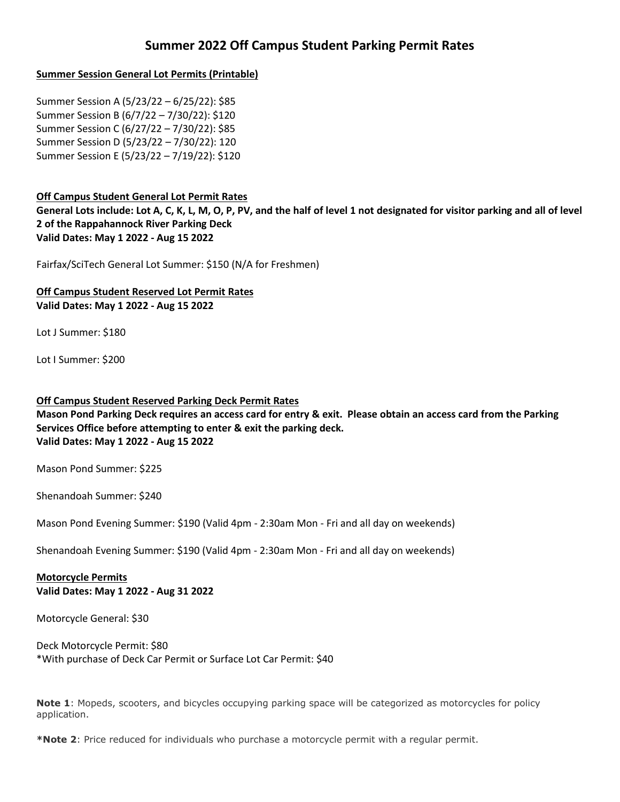# **Summer 2022 Off Campus Student Parking Permit Rates**

## **Summer Session General Lot Permits (Printable)**

Summer Session A (5/23/22 – 6/25/22): \$85 Summer Session B (6/7/22 – 7/30/22): \$120 Summer Session C (6/27/22 – 7/30/22): \$85 Summer Session D (5/23/22 – 7/30/22): 120 Summer Session E (5/23/22 – 7/19/22): \$120

## **Off Campus Student General Lot Permit Rates**

**General Lots include: Lot A, C, K, L, M, O, P, PV, and the half of level 1 not designated for visitor parking and all of level 2 of the Rappahannock River Parking Deck Valid Dates: May 1 2022 - Aug 15 2022**

Fairfax/SciTech General Lot Summer: \$150 (N/A for Freshmen)

**Off Campus Student Reserved Lot Permit Rates Valid Dates: May 1 2022 - Aug 15 2022**

Lot J Summer: \$180

Lot I Summer: \$200

#### **Off Campus Student Reserved Parking Deck Permit Rates**

**Mason Pond Parking Deck requires an access card for entry & exit. Please obtain an access card from the Parking Services Office before attempting to enter & exit the parking deck. Valid Dates: May 1 2022 - Aug 15 2022**

Mason Pond Summer: \$225

Shenandoah Summer: \$240

Mason Pond Evening Summer: \$190 (Valid 4pm - 2:30am Mon - Fri and all day on weekends)

Shenandoah Evening Summer: \$190 (Valid 4pm - 2:30am Mon - Fri and all day on weekends)

**Motorcycle Permits Valid Dates: May 1 2022 - Aug 31 2022**

Motorcycle General: \$30

Deck Motorcycle Permit: \$80 \*With purchase of Deck Car Permit or Surface Lot Car Permit: \$40

**Note 1**: Mopeds, scooters, and bicycles occupying parking space will be categorized as motorcycles for policy application.

**\*Note 2**: Price reduced for individuals who purchase a motorcycle permit with a regular permit.